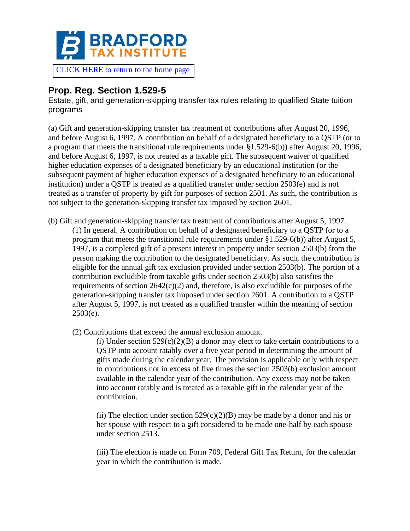

## [CLICK HERE to return to the home page](https://www.bradfordtaxinstitute.com)

## **Prop. Reg. Section 1.529-5**

Estate, gift, and generation-skipping transfer tax rules relating to qualified State tuition programs

(a) Gift and generation-skipping transfer tax treatment of contributions after August 20, 1996, and before August 6, 1997. A contribution on behalf of a designated beneficiary to a QSTP (or to a program that meets the transitional rule requirements under §1.529-6(b)) after August 20, 1996, and before August 6, 1997, is not treated as a taxable gift. The subsequent waiver of qualified higher education expenses of a designated beneficiary by an educational institution (or the subsequent payment of higher education expenses of a designated beneficiary to an educational institution) under a QSTP is treated as a qualified transfer under section 2503(e) and is not treated as a transfer of property by gift for purposes of section 2501. As such, the contribution is not subject to the generation-skipping transfer tax imposed by section 2601.

- (b) Gift and generation-skipping transfer tax treatment of contributions after August 5, 1997. (1) In general. A contribution on behalf of a designated beneficiary to a QSTP (or to a program that meets the transitional rule requirements under §1.529-6(b)) after August 5, 1997, is a completed gift of a present interest in property under section 2503(b) from the person making the contribution to the designated beneficiary. As such, the contribution is eligible for the annual gift tax exclusion provided under section 2503(b). The portion of a contribution excludible from taxable gifts under section 2503(b) also satisfies the requirements of section  $2642(c)(2)$  and, therefore, is also excludible for purposes of the generation-skipping transfer tax imposed under section 2601. A contribution to a QSTP after August 5, 1997, is not treated as a qualified transfer within the meaning of section  $2503(e)$ .
	- (2) Contributions that exceed the annual exclusion amount.

(i) Under section  $529(c)(2)(B)$  a donor may elect to take certain contributions to a QSTP into account ratably over a five year period in determining the amount of gifts made during the calendar year. The provision is applicable only with respect to contributions not in excess of five times the section 2503(b) exclusion amount available in the calendar year of the contribution. Any excess may not be taken into account ratably and is treated as a taxable gift in the calendar year of the contribution.

(ii) The election under section  $529(c)(2)(B)$  may be made by a donor and his or her spouse with respect to a gift considered to be made one-half by each spouse under section 2513.

(iii) The election is made on Form 709, Federal Gift Tax Return, for the calendar year in which the contribution is made.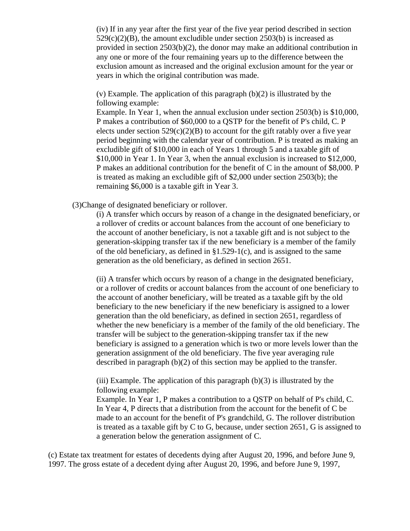(iv) If in any year after the first year of the five year period described in section  $529(c)(2)(B)$ , the amount excludible under section 2503(b) is increased as provided in section  $2503(b)(2)$ , the donor may make an additional contribution in any one or more of the four remaining years up to the difference between the exclusion amount as increased and the original exclusion amount for the year or years in which the original contribution was made.

(v) Example. The application of this paragraph (b)(2) is illustrated by the following example:

Example. In Year 1, when the annual exclusion under section 2503(b) is \$10,000, P makes a contribution of \$60,000 to a QSTP for the benefit of P's child, C. P elects under section  $529(c)(2)(B)$  to account for the gift ratably over a five year period beginning with the calendar year of contribution. P is treated as making an excludible gift of \$10,000 in each of Years 1 through 5 and a taxable gift of \$10,000 in Year 1. In Year 3, when the annual exclusion is increased to \$12,000, P makes an additional contribution for the benefit of C in the amount of \$8,000. P is treated as making an excludible gift of \$2,000 under section 2503(b); the remaining \$6,000 is a taxable gift in Year 3.

(3)Change of designated beneficiary or rollover.

(i) A transfer which occurs by reason of a change in the designated beneficiary, or a rollover of credits or account balances from the account of one beneficiary to the account of another beneficiary, is not a taxable gift and is not subject to the generation-skipping transfer tax if the new beneficiary is a member of the family of the old beneficiary, as defined in §1.529-1(c), and is assigned to the same generation as the old beneficiary, as defined in section 2651.

(ii) A transfer which occurs by reason of a change in the designated beneficiary, or a rollover of credits or account balances from the account of one beneficiary to the account of another beneficiary, will be treated as a taxable gift by the old beneficiary to the new beneficiary if the new beneficiary is assigned to a lower generation than the old beneficiary, as defined in section 2651, regardless of whether the new beneficiary is a member of the family of the old beneficiary. The transfer will be subject to the generation-skipping transfer tax if the new beneficiary is assigned to a generation which is two or more levels lower than the generation assignment of the old beneficiary. The five year averaging rule described in paragraph (b)(2) of this section may be applied to the transfer.

(iii) Example. The application of this paragraph  $(b)(3)$  is illustrated by the following example:

Example. In Year 1, P makes a contribution to a QSTP on behalf of P's child, C. In Year 4, P directs that a distribution from the account for the benefit of C be made to an account for the benefit of P's grandchild, G. The rollover distribution is treated as a taxable gift by C to G, because, under section 2651, G is assigned to a generation below the generation assignment of C.

(c) Estate tax treatment for estates of decedents dying after August 20, 1996, and before June 9, 1997. The gross estate of a decedent dying after August 20, 1996, and before June 9, 1997,